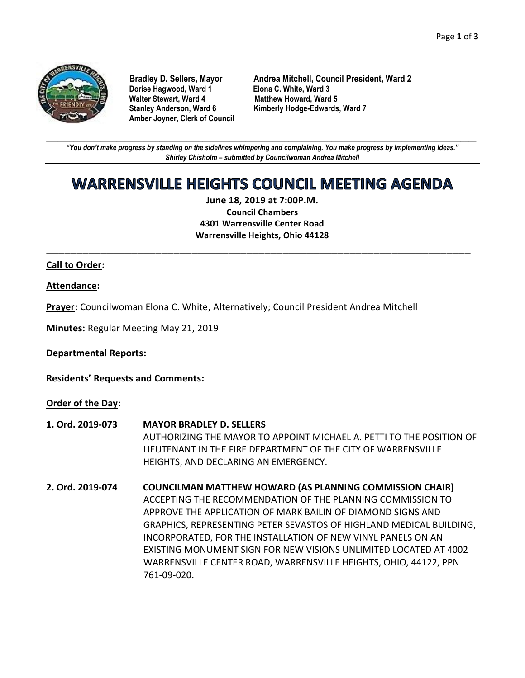

**Dorise Hagwood, Ward 1** Elona C. White, Ward 3<br>
Walter Stewart, Ward 4 Matthew Howard, Ward **Amber Joyner, Clerk of Council**

**Bradley D. Sellers, Mayor Andrea Mitchell, Council President, Ward 2 Matthew Howard, Ward 5 Stanley Anderson, Ward 6 Kimberly Hodge-Edwards, Ward 7**

**\_\_\_\_\_\_\_\_\_\_\_\_\_\_\_\_\_\_\_\_\_\_\_\_\_\_\_\_\_\_\_\_\_\_\_\_\_\_\_\_\_\_\_\_\_\_\_\_\_\_\_\_\_\_\_\_\_\_\_\_\_\_\_\_\_\_\_\_\_\_\_\_\_\_\_\_\_\_\_\_\_\_\_\_\_\_\_\_\_\_\_\_\_\_\_\_\_\_\_\_\_\_\_\_\_\_\_\_\_\_** *"You don't make progress by standing on the sidelines whimpering and complaining. You make progress by implementing ideas." Shirley Chisholm – submitted by Councilwoman Andrea Mitchell*

# **WARRENSVILLE HEIGHTS COUNCIL MEETING AGENDA**

**June 18, 2019 at 7:00P.M. Council Chambers 4301 Warrensville Center Road Warrensville Heights, Ohio 44128**

**\_\_\_\_\_\_\_\_\_\_\_\_\_\_\_\_\_\_\_\_\_\_\_\_\_\_\_\_\_\_\_\_\_\_\_\_\_\_\_\_\_\_\_\_\_\_\_\_\_\_\_\_\_\_\_\_\_\_\_\_\_\_\_\_\_\_\_\_\_\_**

## **Call to Order:**

## **Attendance:**

**Prayer:** Councilwoman Elona C. White, Alternatively; Council President Andrea Mitchell

**Minutes:** Regular Meeting May 21, 2019

**Departmental Reports:**

**Residents' Requests and Comments:**

**Order of the Day:**

- **1. Ord. 2019-073 MAYOR BRADLEY D. SELLERS** AUTHORIZING THE MAYOR TO APPOINT MICHAEL A. PETTI TO THE POSITION OF LIEUTENANT IN THE FIRE DEPARTMENT OF THE CITY OF WARRENSVILLE HEIGHTS, AND DECLARING AN EMERGENCY.
- **2. Ord. 2019-074 COUNCILMAN MATTHEW HOWARD (AS PLANNING COMMISSION CHAIR)** ACCEPTING THE RECOMMENDATION OF THE PLANNING COMMISSION TO APPROVE THE APPLICATION OF MARK BAILIN OF DIAMOND SIGNS AND GRAPHICS, REPRESENTING PETER SEVASTOS OF HIGHLAND MEDICAL BUILDING, INCORPORATED, FOR THE INSTALLATION OF NEW VINYL PANELS ON AN EXISTING MONUMENT SIGN FOR NEW VISIONS UNLIMITED LOCATED AT 4002 WARRENSVILLE CENTER ROAD, WARRENSVILLE HEIGHTS, OHIO, 44122, PPN 761-09-020.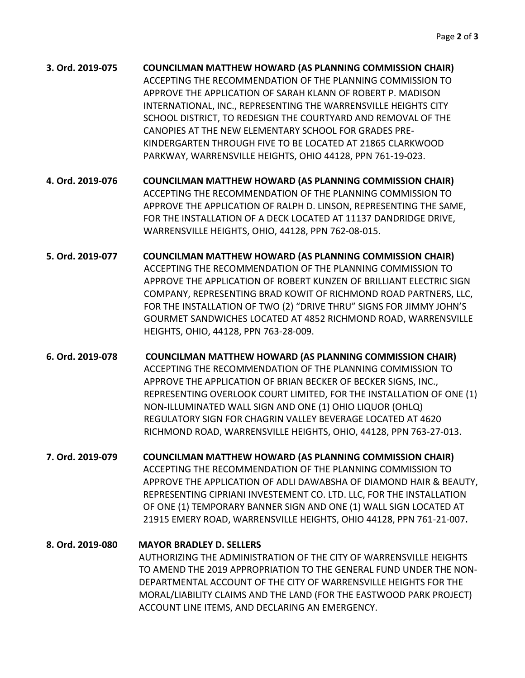| 3. Ord. 2019-075 | <b>COUNCILMAN MATTHEW HOWARD (AS PLANNING COMMISSION CHAIR)</b> |
|------------------|-----------------------------------------------------------------|
|                  | ACCEPTING THE RECOMMENDATION OF THE PLANNING COMMISSION TO      |
|                  | APPROVE THE APPLICATION OF SARAH KLANN OF ROBERT P. MADISON     |
|                  | INTERNATIONAL, INC., REPRESENTING THE WARRENSVILLE HEIGHTS CITY |
|                  | SCHOOL DISTRICT, TO REDESIGN THE COURTYARD AND REMOVAL OF THE   |
|                  | CANOPIES AT THE NEW ELEMENTARY SCHOOL FOR GRADES PRE-           |
|                  | KINDERGARTEN THROUGH FIVE TO BE LOCATED AT 21865 CLARKWOOD      |
|                  | PARKWAY, WARRENSVILLE HEIGHTS, OHIO 44128, PPN 761-19-023.      |

**4. Ord. 2019-076 COUNCILMAN MATTHEW HOWARD (AS PLANNING COMMISSION CHAIR)** ACCEPTING THE RECOMMENDATION OF THE PLANNING COMMISSION TO APPROVE THE APPLICATION OF RALPH D. LINSON, REPRESENTING THE SAME, FOR THE INSTALLATION OF A DECK LOCATED AT 11137 DANDRIDGE DRIVE, WARRENSVILLE HEIGHTS, OHIO, 44128, PPN 762-08-015.

- **5. Ord. 2019-077 COUNCILMAN MATTHEW HOWARD (AS PLANNING COMMISSION CHAIR)** ACCEPTING THE RECOMMENDATION OF THE PLANNING COMMISSION TO APPROVE THE APPLICATION OF ROBERT KUNZEN OF BRILLIANT ELECTRIC SIGN COMPANY, REPRESENTING BRAD KOWIT OF RICHMOND ROAD PARTNERS, LLC, FOR THE INSTALLATION OF TWO (2) "DRIVE THRU" SIGNS FOR JIMMY JOHN'S GOURMET SANDWICHES LOCATED AT 4852 RICHMOND ROAD, WARRENSVILLE HEIGHTS, OHIO, 44128, PPN 763-28-009.
- **6. Ord. 2019-078 COUNCILMAN MATTHEW HOWARD (AS PLANNING COMMISSION CHAIR)** ACCEPTING THE RECOMMENDATION OF THE PLANNING COMMISSION TO APPROVE THE APPLICATION OF BRIAN BECKER OF BECKER SIGNS, INC., REPRESENTING OVERLOOK COURT LIMITED, FOR THE INSTALLATION OF ONE (1) NON-ILLUMINATED WALL SIGN AND ONE (1) OHIO LIQUOR (OHLQ) REGULATORY SIGN FOR CHAGRIN VALLEY BEVERAGE LOCATED AT 4620 RICHMOND ROAD, WARRENSVILLE HEIGHTS, OHIO, 44128, PPN 763-27-013.
- **7. Ord. 2019-079 COUNCILMAN MATTHEW HOWARD (AS PLANNING COMMISSION CHAIR)** ACCEPTING THE RECOMMENDATION OF THE PLANNING COMMISSION TO APPROVE THE APPLICATION OF ADLI DAWABSHA OF DIAMOND HAIR & BEAUTY, REPRESENTING CIPRIANI INVESTEMENT CO. LTD. LLC, FOR THE INSTALLATION OF ONE (1) TEMPORARY BANNER SIGN AND ONE (1) WALL SIGN LOCATED AT 21915 EMERY ROAD, WARRENSVILLE HEIGHTS, OHIO 44128, PPN 761-21-007**.**

**8. Ord. 2019-080 MAYOR BRADLEY D. SELLERS** AUTHORIZING THE ADMINISTRATION OF THE CITY OF WARRENSVILLE HEIGHTS TO AMEND THE 2019 APPROPRIATION TO THE GENERAL FUND UNDER THE NON-DEPARTMENTAL ACCOUNT OF THE CITY OF WARRENSVILLE HEIGHTS FOR THE MORAL/LIABILITY CLAIMS AND THE LAND (FOR THE EASTWOOD PARK PROJECT) ACCOUNT LINE ITEMS, AND DECLARING AN EMERGENCY.